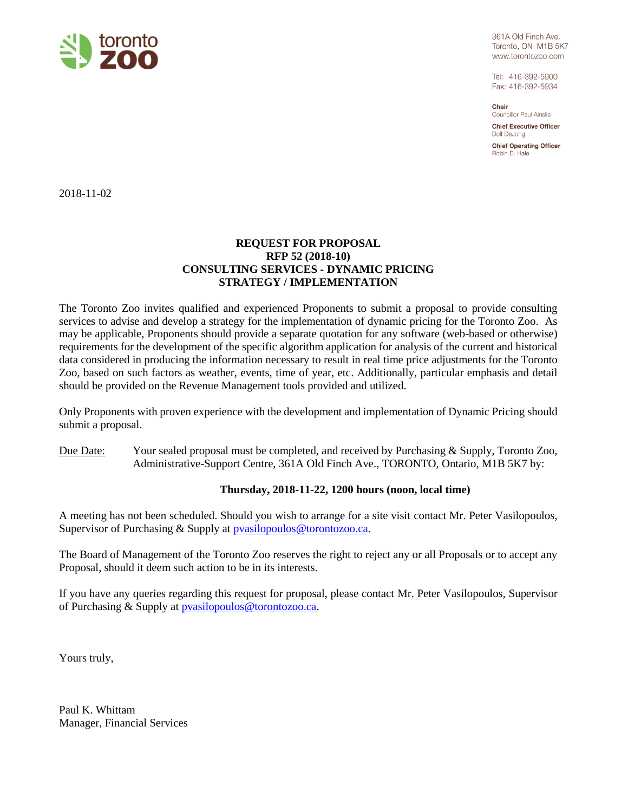

361A Old Finch Ave. Toronto, ON M1B 5K7 www.torontozoo.com

Tel: 416-392-5900 Fax: 416-392-5934

Chair Councillor Paul Ainslie

**Chief Executive Officer** Dolf DeJona

**Chief Operating Officer** Robin D. Hale

2018-11-02

# **REQUEST FOR PROPOSAL RFP 52 (2018-10) CONSULTING SERVICES - DYNAMIC PRICING STRATEGY / IMPLEMENTATION**

The Toronto Zoo invites qualified and experienced Proponents to submit a proposal to provide consulting services to advise and develop a strategy for the implementation of dynamic pricing for the Toronto Zoo. As may be applicable, Proponents should provide a separate quotation for any software (web-based or otherwise) requirements for the development of the specific algorithm application for analysis of the current and historical data considered in producing the information necessary to result in real time price adjustments for the Toronto Zoo, based on such factors as weather, events, time of year, etc. Additionally, particular emphasis and detail should be provided on the Revenue Management tools provided and utilized.

Only Proponents with proven experience with the development and implementation of Dynamic Pricing should submit a proposal.

Due Date: Your sealed proposal must be completed, and received by Purchasing & Supply, Toronto Zoo, Administrative-Support Centre, 361A Old Finch Ave., TORONTO, Ontario, M1B 5K7 by:

### **Thursday, 2018-11-22, 1200 hours (noon, local time)**

A meeting has not been scheduled. Should you wish to arrange for a site visit contact Mr. Peter Vasilopoulos, Supervisor of Purchasing & Supply at **pvasilopoulos@torontozoo.ca.** 

The Board of Management of the Toronto Zoo reserves the right to reject any or all Proposals or to accept any Proposal, should it deem such action to be in its interests.

If you have any queries regarding this request for proposal, please contact Mr. Peter Vasilopoulos, Supervisor of Purchasing & Supply at [pvasilopoulos@torontozoo.ca.](mailto:pvasilopoulos@torontozoo.ca)

Yours truly,

Paul K. Whittam Manager, Financial Services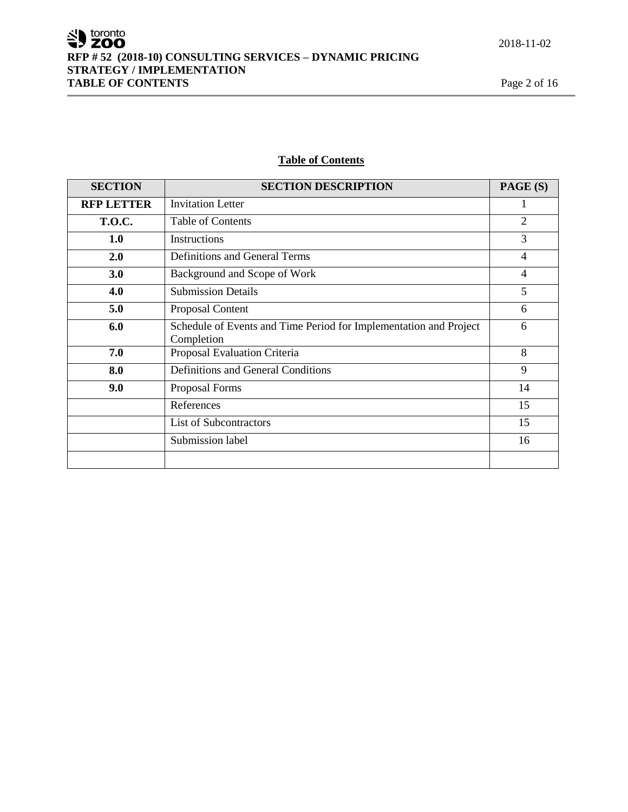SU toronto **RFP # 52 (2018-10) CONSULTING SERVICES – DYNAMIC PRICING STRATEGY / IMPLEMENTATION TABLE OF CONTENTS** Page 2 of 16

# **Table of Contents**

| <b>SECTION</b>    | <b>SECTION DESCRIPTION</b>                                                      | PAGE (S)       |
|-------------------|---------------------------------------------------------------------------------|----------------|
| <b>RFP LETTER</b> | <b>Invitation Letter</b>                                                        | 1              |
| <b>T.O.C.</b>     | <b>Table of Contents</b>                                                        | $\overline{2}$ |
| <b>1.0</b>        | Instructions                                                                    | 3              |
| 2.0               | Definitions and General Terms                                                   | $\overline{4}$ |
| 3.0               | Background and Scope of Work                                                    | $\overline{4}$ |
| 4.0               | <b>Submission Details</b>                                                       | 5              |
| 5.0               | Proposal Content                                                                | 6              |
| 6.0               | Schedule of Events and Time Period for Implementation and Project<br>Completion | 6              |
| 7.0               | Proposal Evaluation Criteria                                                    | 8              |
| 8.0               | Definitions and General Conditions                                              | 9              |
| 9.0               | Proposal Forms                                                                  | 14             |
|                   | References                                                                      | 15             |
|                   | <b>List of Subcontractors</b>                                                   | 15             |
|                   | Submission label                                                                | 16             |
|                   |                                                                                 |                |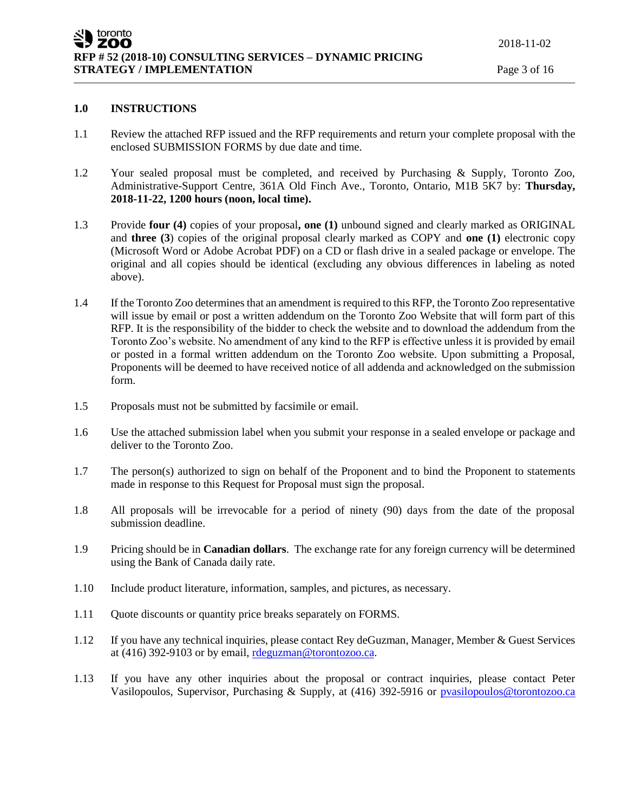# **1.0 INSTRUCTIONS**

- 1.1 Review the attached RFP issued and the RFP requirements and return your complete proposal with the enclosed SUBMISSION FORMS by due date and time.
- 1.2 Your sealed proposal must be completed, and received by Purchasing & Supply, Toronto Zoo, Administrative-Support Centre, 361A Old Finch Ave., Toronto, Ontario, M1B 5K7 by: **Thursday, 2018-11-22, 1200 hours (noon, local time).**
- 1.3 Provide **four (4)** copies of your proposal**, one (1)** unbound signed and clearly marked as ORIGINAL and **three (3**) copies of the original proposal clearly marked as COPY and **one (1)** electronic copy (Microsoft Word or Adobe Acrobat PDF) on a CD or flash drive in a sealed package or envelope. The original and all copies should be identical (excluding any obvious differences in labeling as noted above).
- 1.4 If the Toronto Zoo determines that an amendment is required to this RFP, the Toronto Zoo representative will issue by email or post a written addendum on the Toronto Zoo Website that will form part of this RFP. It is the responsibility of the bidder to check the website and to download the addendum from the Toronto Zoo's website. No amendment of any kind to the RFP is effective unless it is provided by email or posted in a formal written addendum on the Toronto Zoo website. Upon submitting a Proposal, Proponents will be deemed to have received notice of all addenda and acknowledged on the submission form.
- 1.5 Proposals must not be submitted by facsimile or email.
- 1.6 Use the attached submission label when you submit your response in a sealed envelope or package and deliver to the Toronto Zoo.
- 1.7 The person(s) authorized to sign on behalf of the Proponent and to bind the Proponent to statements made in response to this Request for Proposal must sign the proposal.
- 1.8 All proposals will be irrevocable for a period of ninety (90) days from the date of the proposal submission deadline.
- 1.9 Pricing should be in **Canadian dollars**. The exchange rate for any foreign currency will be determined using the Bank of Canada daily rate.
- 1.10 Include product literature, information, samples, and pictures, as necessary.
- 1.11 Quote discounts or quantity price breaks separately on FORMS.
- 1.12 If you have any technical inquiries, please contact Rey deGuzman, Manager, Member & Guest Services at (416) 392-9103 or by email, [rdeguzman@torontozoo.ca.](mailto:rdeguzman@torontozoo.ca)
- 1.13 If you have any other inquiries about the proposal or contract inquiries, please contact Peter Vasilopoulos, Supervisor, Purchasing & Supply, at (416) 392-5916 or [pvasilopoulos@torontozoo.ca](mailto:pvasilopoulos@torontozoo.ca)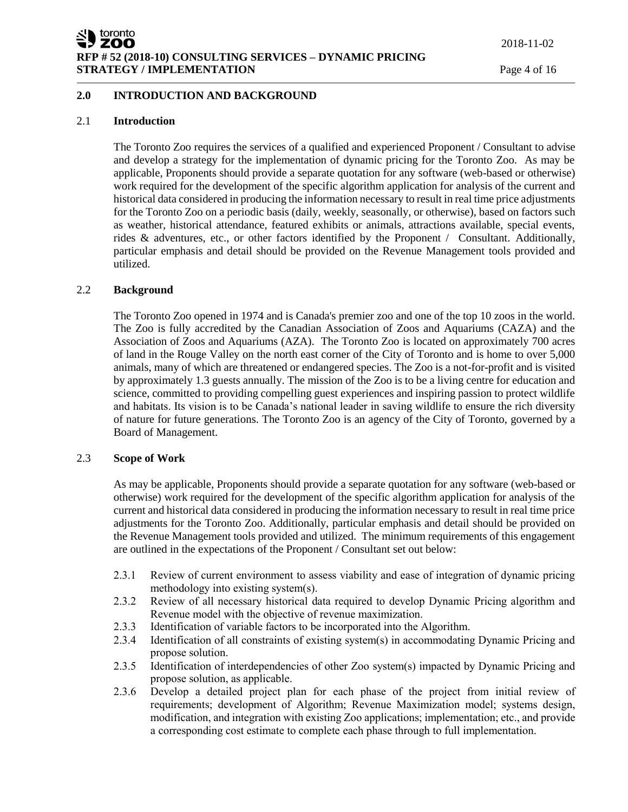### **2.0 INTRODUCTION AND BACKGROUND**

### 2.1 **Introduction**

The Toronto Zoo requires the services of a qualified and experienced Proponent / Consultant to advise and develop a strategy for the implementation of dynamic pricing for the Toronto Zoo. As may be applicable, Proponents should provide a separate quotation for any software (web-based or otherwise) work required for the development of the specific algorithm application for analysis of the current and historical data considered in producing the information necessary to result in real time price adjustments for the Toronto Zoo on a periodic basis (daily, weekly, seasonally, or otherwise), based on factors such as weather, historical attendance, featured exhibits or animals, attractions available, special events, rides & adventures, etc., or other factors identified by the Proponent / Consultant. Additionally, particular emphasis and detail should be provided on the Revenue Management tools provided and utilized.

#### 2.2 **Background**

The Toronto Zoo opened in 1974 and is Canada's premier zoo and one of the top 10 zoos in the world. The Zoo is fully accredited by the Canadian Association of Zoos and Aquariums (CAZA) and the Association of Zoos and Aquariums (AZA). The Toronto Zoo is located on approximately 700 acres of land in the Rouge Valley on the north east corner of the City of Toronto and is home to over 5,000 animals, many of which are threatened or endangered species. The Zoo is a not-for-profit and is visited by approximately 1.3 guests annually. The mission of the Zoo is to be a living centre for education and science, committed to providing compelling guest experiences and inspiring passion to protect wildlife and habitats. Its vision is to be Canada's national leader in saving wildlife to ensure the rich diversity of nature for future generations. The Toronto Zoo is an agency of the City of Toronto, governed by a Board of Management.

#### 2.3 **Scope of Work**

As may be applicable, Proponents should provide a separate quotation for any software (web-based or otherwise) work required for the development of the specific algorithm application for analysis of the current and historical data considered in producing the information necessary to result in real time price adjustments for the Toronto Zoo. Additionally, particular emphasis and detail should be provided on the Revenue Management tools provided and utilized. The minimum requirements of this engagement are outlined in the expectations of the Proponent / Consultant set out below:

- 2.3.1 Review of current environment to assess viability and ease of integration of dynamic pricing methodology into existing system(s).
- 2.3.2 Review of all necessary historical data required to develop Dynamic Pricing algorithm and Revenue model with the objective of revenue maximization.
- 2.3.3 Identification of variable factors to be incorporated into the Algorithm.
- 2.3.4 Identification of all constraints of existing system(s) in accommodating Dynamic Pricing and propose solution.
- 2.3.5 Identification of interdependencies of other Zoo system(s) impacted by Dynamic Pricing and propose solution, as applicable.
- 2.3.6 Develop a detailed project plan for each phase of the project from initial review of requirements; development of Algorithm; Revenue Maximization model; systems design, modification, and integration with existing Zoo applications; implementation; etc., and provide a corresponding cost estimate to complete each phase through to full implementation.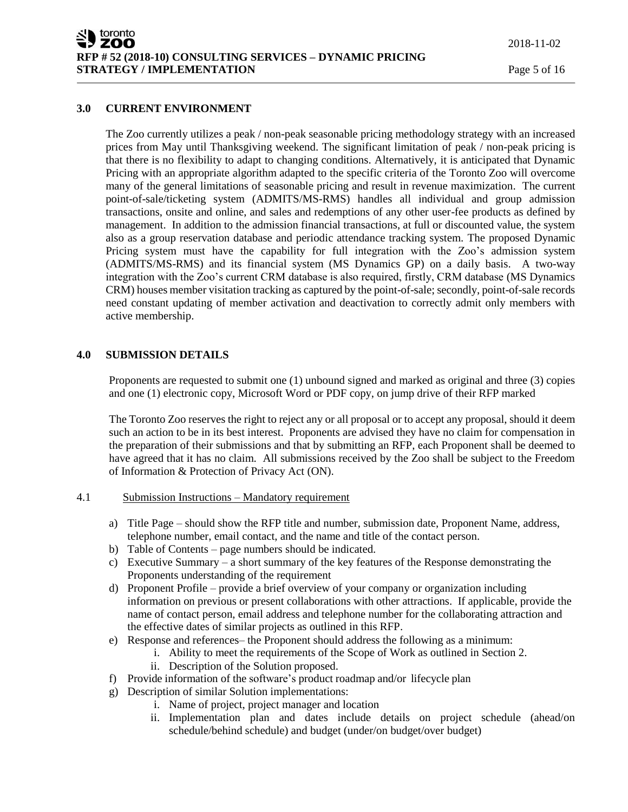#### **3.0 CURRENT ENVIRONMENT**

The Zoo currently utilizes a peak / non-peak seasonable pricing methodology strategy with an increased prices from May until Thanksgiving weekend. The significant limitation of peak / non-peak pricing is that there is no flexibility to adapt to changing conditions. Alternatively, it is anticipated that Dynamic Pricing with an appropriate algorithm adapted to the specific criteria of the Toronto Zoo will overcome many of the general limitations of seasonable pricing and result in revenue maximization. The current point-of-sale/ticketing system (ADMITS/MS-RMS) handles all individual and group admission transactions, onsite and online, and sales and redemptions of any other user-fee products as defined by management. In addition to the admission financial transactions, at full or discounted value, the system also as a group reservation database and periodic attendance tracking system. The proposed Dynamic Pricing system must have the capability for full integration with the Zoo's admission system (ADMITS/MS-RMS) and its financial system (MS Dynamics GP) on a daily basis. A two-way integration with the Zoo's current CRM database is also required, firstly, CRM database (MS Dynamics CRM) houses member visitation tracking as captured by the point-of-sale; secondly, point-of-sale records need constant updating of member activation and deactivation to correctly admit only members with active membership.

### **4.0 SUBMISSION DETAILS**

Proponents are requested to submit one (1) unbound signed and marked as original and three (3) copies and one (1) electronic copy, Microsoft Word or PDF copy, on jump drive of their RFP marked

The Toronto Zoo reserves the right to reject any or all proposal or to accept any proposal, should it deem such an action to be in its best interest. Proponents are advised they have no claim for compensation in the preparation of their submissions and that by submitting an RFP, each Proponent shall be deemed to have agreed that it has no claim. All submissions received by the Zoo shall be subject to the Freedom of Information & Protection of Privacy Act (ON).

#### 4.1 Submission Instructions – Mandatory requirement

- a) Title Page should show the RFP title and number, submission date, Proponent Name, address, telephone number, email contact, and the name and title of the contact person.
- b) Table of Contents page numbers should be indicated.
- c) Executive Summary a short summary of the key features of the Response demonstrating the Proponents understanding of the requirement
- d) Proponent Profile provide a brief overview of your company or organization including information on previous or present collaborations with other attractions. If applicable, provide the name of contact person, email address and telephone number for the collaborating attraction and the effective dates of similar projects as outlined in this RFP.
- e) Response and references– the Proponent should address the following as a minimum:
	- i. Ability to meet the requirements of the Scope of Work as outlined in Section 2.
		- ii. Description of the Solution proposed.
- f) Provide information of the software's product roadmap and/or lifecycle plan
- g) Description of similar Solution implementations:
	- i. Name of project, project manager and location
	- ii. Implementation plan and dates include details on project schedule (ahead/on schedule/behind schedule) and budget (under/on budget/over budget)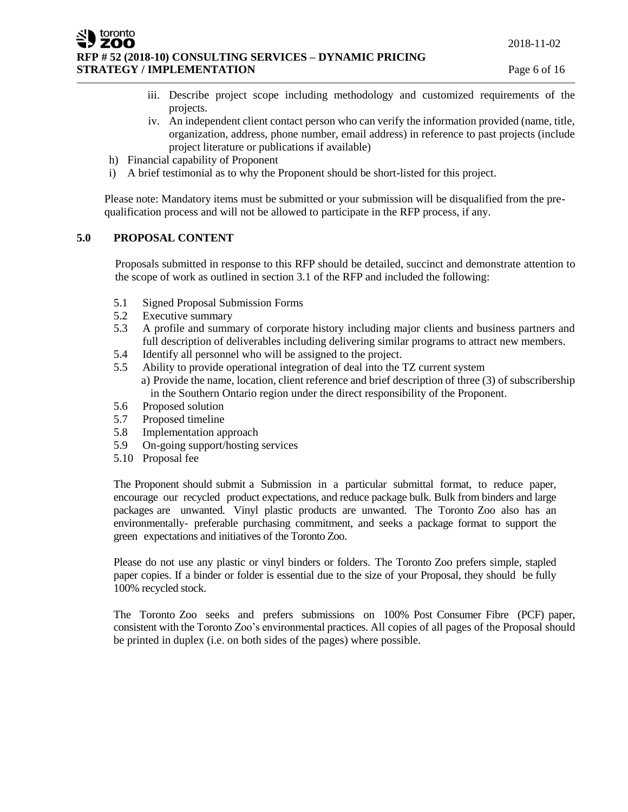ZOO **RFP # 52 (2018-10) CONSULTING SERVICES – DYNAMIC PRICING STRATEGY / IMPLEMENTATION Page 6 of 16** 

- iii. Describe project scope including methodology and customized requirements of the projects.
- iv. An independent client contact person who can verify the information provided (name, title, organization, address, phone number, email address) in reference to past projects (include project literature or publications if available)
- h) Financial capability of Proponent
- i) A brief testimonial as to why the Proponent should be short-listed for this project.

Please note: Mandatory items must be submitted or your submission will be disqualified from the prequalification process and will not be allowed to participate in the RFP process, if any.

### **5.0 PROPOSAL CONTENT**

toronto

Proposals submitted in response to this RFP should be detailed, succinct and demonstrate attention to the scope of work as outlined in section 3.1 of the RFP and included the following:

- 5.1 Signed Proposal Submission Forms
- 5.2 Executive summary
- 5.3 A profile and summary of corporate history including major clients and business partners and full description of deliverables including delivering similar programs to attract new members.
- 5.4 Identify all personnel who will be assigned to the project.
- 5.5 Ability to provide operational integration of deal into the TZ current system a) Provide the name, location, client reference and brief description of three (3) of subscribership in the Southern Ontario region under the direct responsibility of the Proponent.
- 5.6 Proposed solution
- 5.7 Proposed timeline
- 5.8 Implementation approach
- 5.9 On-going support/hosting services
- 5.10 Proposal fee

The Proponent should submit a Submission in a particular submittal format, to reduce paper, encourage our recycled product expectations, and reduce package bulk. Bulk from binders and large packages are unwanted. Vinyl plastic products are unwanted. The Toronto Zoo also has an environmentally- preferable purchasing commitment, and seeks a package format to support the green expectations and initiatives of the Toronto Zoo.

Please do not use any plastic or vinyl binders or folders. The Toronto Zoo prefers simple, stapled paper copies. If a binder or folder is essential due to the size of your Proposal, they should be fully 100% recycled stock.

The Toronto Zoo seeks and prefers submissions on 100% Post Consumer Fibre (PCF) paper, consistent with the Toronto Zoo's environmental practices. All copies of all pages of the Proposal should be printed in duplex (i.e. on both sides of the pages) where possible.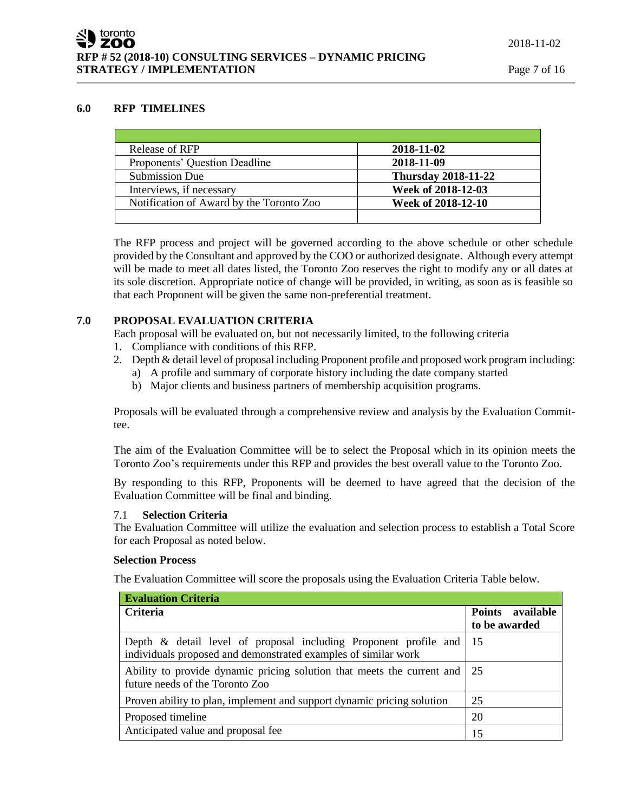#### **6.0 RFP TIMELINES**

| Release of RFP                           | 2018-11-02                 |
|------------------------------------------|----------------------------|
| Proponents' Question Deadline            | 2018-11-09                 |
| Submission Due                           | <b>Thursday 2018-11-22</b> |
| Interviews, if necessary                 | Week of 2018-12-03         |
| Notification of Award by the Toronto Zoo | Week of 2018-12-10         |
|                                          |                            |

The RFP process and project will be governed according to the above schedule or other schedule provided by the Consultant and approved by the COO or authorized designate. Although every attempt will be made to meet all dates listed, the Toronto Zoo reserves the right to modify any or all dates at its sole discretion. Appropriate notice of change will be provided, in writing, as soon as is feasible so that each Proponent will be given the same non-preferential treatment.

### **7.0 PROPOSAL EVALUATION CRITERIA**

Each proposal will be evaluated on, but not necessarily limited, to the following criteria

- 1. Compliance with conditions of this RFP.
- 2. Depth & detail level of proposal including Proponent profile and proposed work program including:
	- a) A profile and summary of corporate history including the date company started
	- b) Major clients and business partners of membership acquisition programs.

Proposals will be evaluated through a comprehensive review and analysis by the Evaluation Committee.

The aim of the Evaluation Committee will be to select the Proposal which in its opinion meets the Toronto Zoo's requirements under this RFP and provides the best overall value to the Toronto Zoo.

By responding to this RFP, Proponents will be deemed to have agreed that the decision of the Evaluation Committee will be final and binding.

#### 7.1 **Selection Criteria**

The Evaluation Committee will utilize the evaluation and selection process to establish a Total Score for each Proposal as noted below.

#### **Selection Process**

The Evaluation Committee will score the proposals using the Evaluation Criteria Table below.

| <b>Evaluation Criteria</b>                                                                                                               |                                   |
|------------------------------------------------------------------------------------------------------------------------------------------|-----------------------------------|
| Criteria                                                                                                                                 | Points available<br>to be awarded |
| Depth $\&$ detail level of proposal including Proponent profile and 15<br>individuals proposed and demonstrated examples of similar work |                                   |
| Ability to provide dynamic pricing solution that meets the current and   25<br>future needs of the Toronto Zoo                           |                                   |
| Proven ability to plan, implement and support dynamic pricing solution                                                                   | 25                                |
| Proposed timeline                                                                                                                        | 20                                |
| Anticipated value and proposal fee                                                                                                       | 15                                |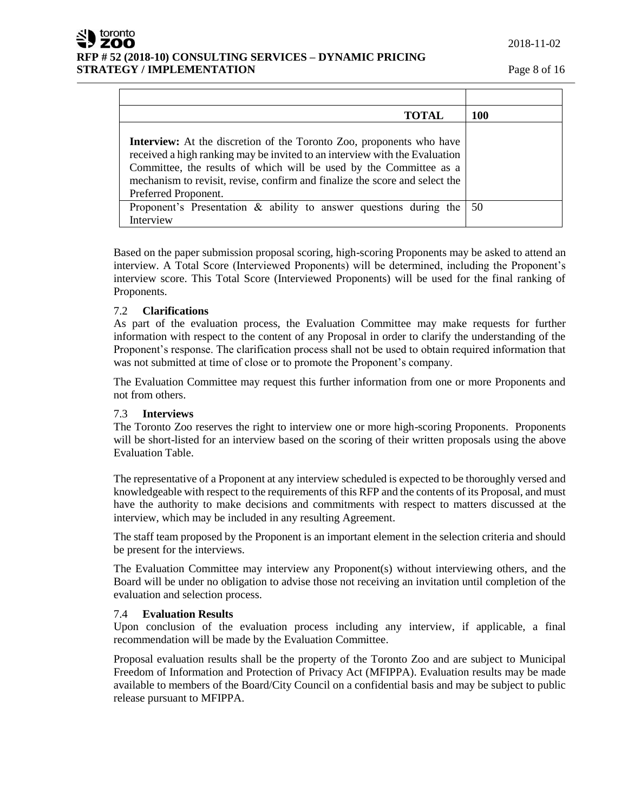2018-11-02

# **RFP # 52 (2018-10) CONSULTING SERVICES – DYNAMIC PRICING STRATEGY / IMPLEMENTATION Page 8 of 16**

| TOTAL                                                                                                                                                                                                                                                                                                                                  | 100 |
|----------------------------------------------------------------------------------------------------------------------------------------------------------------------------------------------------------------------------------------------------------------------------------------------------------------------------------------|-----|
| <b>Interview:</b> At the discretion of the Toronto Zoo, proponents who have<br>received a high ranking may be invited to an interview with the Evaluation<br>Committee, the results of which will be used by the Committee as a<br>mechanism to revisit, revise, confirm and finalize the score and select the<br>Preferred Proponent. |     |
| Proponent's Presentation $\&$ ability to answer questions during the<br>Interview                                                                                                                                                                                                                                                      | 50  |

Based on the paper submission proposal scoring, high-scoring Proponents may be asked to attend an interview. A Total Score (Interviewed Proponents) will be determined, including the Proponent's interview score. This Total Score (Interviewed Proponents) will be used for the final ranking of Proponents.

# 7.2 **Clarifications**

toronto ZOO

> As part of the evaluation process, the Evaluation Committee may make requests for further information with respect to the content of any Proposal in order to clarify the understanding of the Proponent's response. The clarification process shall not be used to obtain required information that was not submitted at time of close or to promote the Proponent's company.

> The Evaluation Committee may request this further information from one or more Proponents and not from others.

### 7.3 **Interviews**

The Toronto Zoo reserves the right to interview one or more high-scoring Proponents. Proponents will be short-listed for an interview based on the scoring of their written proposals using the above Evaluation Table.

The representative of a Proponent at any interview scheduled is expected to be thoroughly versed and knowledgeable with respect to the requirements of this RFP and the contents of its Proposal, and must have the authority to make decisions and commitments with respect to matters discussed at the interview, which may be included in any resulting Agreement.

The staff team proposed by the Proponent is an important element in the selection criteria and should be present for the interviews.

The Evaluation Committee may interview any Proponent(s) without interviewing others, and the Board will be under no obligation to advise those not receiving an invitation until completion of the evaluation and selection process.

### 7.4 **Evaluation Results**

Upon conclusion of the evaluation process including any interview, if applicable, a final recommendation will be made by the Evaluation Committee.

Proposal evaluation results shall be the property of the Toronto Zoo and are subject to Municipal Freedom of Information and Protection of Privacy Act (MFIPPA). Evaluation results may be made available to members of the Board/City Council on a confidential basis and may be subject to public release pursuant to MFIPPA.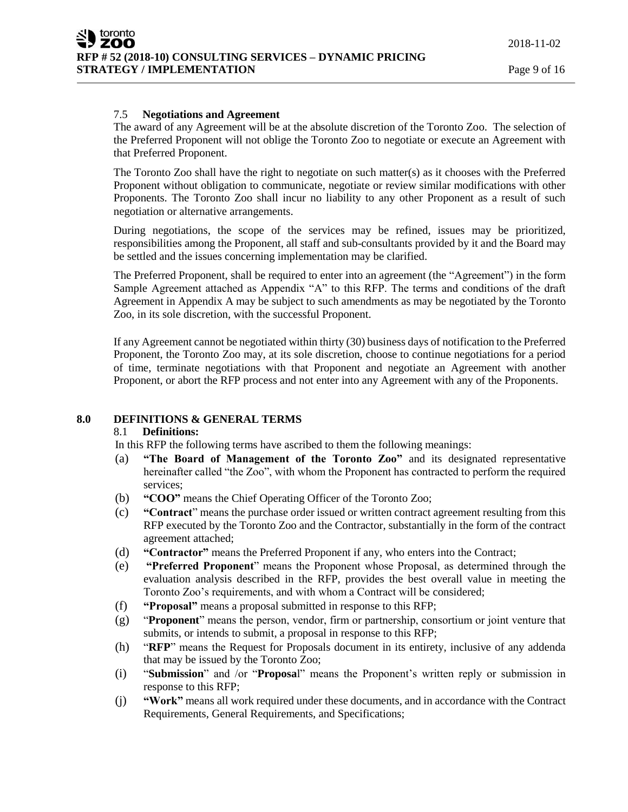### 7.5 **Negotiations and Agreement**

The award of any Agreement will be at the absolute discretion of the Toronto Zoo. The selection of the Preferred Proponent will not oblige the Toronto Zoo to negotiate or execute an Agreement with that Preferred Proponent.

The Toronto Zoo shall have the right to negotiate on such matter(s) as it chooses with the Preferred Proponent without obligation to communicate, negotiate or review similar modifications with other Proponents. The Toronto Zoo shall incur no liability to any other Proponent as a result of such negotiation or alternative arrangements.

During negotiations, the scope of the services may be refined, issues may be prioritized, responsibilities among the Proponent, all staff and sub-consultants provided by it and the Board may be settled and the issues concerning implementation may be clarified.

The Preferred Proponent, shall be required to enter into an agreement (the "Agreement") in the form Sample Agreement attached as Appendix "A" to this RFP. The terms and conditions of the draft Agreement in Appendix A may be subject to such amendments as may be negotiated by the Toronto Zoo, in its sole discretion, with the successful Proponent.

If any Agreement cannot be negotiated within thirty (30) business days of notification to the Preferred Proponent, the Toronto Zoo may, at its sole discretion, choose to continue negotiations for a period of time, terminate negotiations with that Proponent and negotiate an Agreement with another Proponent, or abort the RFP process and not enter into any Agreement with any of the Proponents.

#### **8.0 DEFINITIONS & GENERAL TERMS**

#### 8.1 **Definitions:**

In this RFP the following terms have ascribed to them the following meanings:

- (a) **"The Board of Management of the Toronto Zoo"** and its designated representative hereinafter called "the Zoo", with whom the Proponent has contracted to perform the required services;
- (b) **"COO"** means the Chief Operating Officer of the Toronto Zoo;
- (c) **"Contract**" means the purchase order issued or written contract agreement resulting from this RFP executed by the Toronto Zoo and the Contractor, substantially in the form of the contract agreement attached;
- (d) **"Contractor"** means the Preferred Proponent if any, who enters into the Contract;
- (e) **"Preferred Proponent**" means the Proponent whose Proposal, as determined through the evaluation analysis described in the RFP, provides the best overall value in meeting the Toronto Zoo's requirements, and with whom a Contract will be considered;
- (f) **"Proposal"** means a proposal submitted in response to this RFP;
- (g) "**Proponent**" means the person, vendor, firm or partnership, consortium or joint venture that submits, or intends to submit, a proposal in response to this RFP;
- (h) "**RFP**" means the Request for Proposals document in its entirety, inclusive of any addenda that may be issued by the Toronto Zoo;
- (i) "**Submission**" and /or "**Proposa**l" means the Proponent's written reply or submission in response to this RFP;
- (j) **"Work"** means all work required under these documents, and in accordance with the Contract Requirements, General Requirements, and Specifications;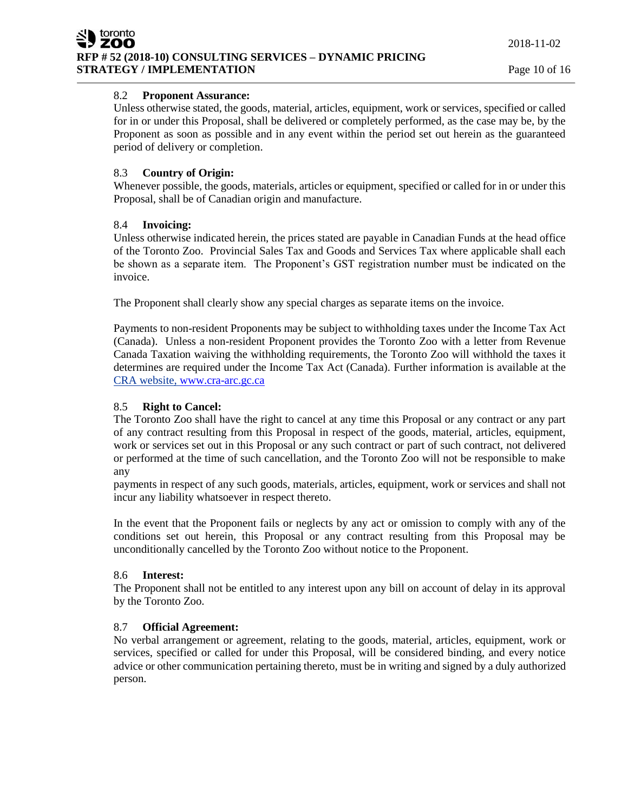# 8.2 **Proponent Assurance:**

Unless otherwise stated, the goods, material, articles, equipment, work or services, specified or called for in or under this Proposal, shall be delivered or completely performed, as the case may be, by the Proponent as soon as possible and in any event within the period set out herein as the guaranteed period of delivery or completion.

# 8.3 **Country of Origin:**

Whenever possible, the goods, materials, articles or equipment, specified or called for in or under this Proposal, shall be of Canadian origin and manufacture.

# 8.4 **Invoicing:**

Unless otherwise indicated herein, the prices stated are payable in Canadian Funds at the head office of the Toronto Zoo. Provincial Sales Tax and Goods and Services Tax where applicable shall each be shown as a separate item. The Proponent's GST registration number must be indicated on the invoice.

The Proponent shall clearly show any special charges as separate items on the invoice.

Payments to non-resident Proponents may be subject to withholding taxes under the Income Tax Act (Canada). Unless a non-resident Proponent provides the Toronto Zoo with a letter from Revenue Canada Taxation waiving the withholding requirements, the Toronto Zoo will withhold the taxes it determines are required under the Income Tax Act (Canada). Further information is available at the CRA website, [www.cra-arc.gc.ca](http://www.cra-arc.gc.ca/)

# 8.5 **Right to Cancel:**

The Toronto Zoo shall have the right to cancel at any time this Proposal or any contract or any part of any contract resulting from this Proposal in respect of the goods, material, articles, equipment, work or services set out in this Proposal or any such contract or part of such contract, not delivered or performed at the time of such cancellation, and the Toronto Zoo will not be responsible to make any

payments in respect of any such goods, materials, articles, equipment, work or services and shall not incur any liability whatsoever in respect thereto.

In the event that the Proponent fails or neglects by any act or omission to comply with any of the conditions set out herein, this Proposal or any contract resulting from this Proposal may be unconditionally cancelled by the Toronto Zoo without notice to the Proponent.

### 8.6 **Interest:**

The Proponent shall not be entitled to any interest upon any bill on account of delay in its approval by the Toronto Zoo.

# 8.7 **Official Agreement:**

No verbal arrangement or agreement, relating to the goods, material, articles, equipment, work or services, specified or called for under this Proposal, will be considered binding, and every notice advice or other communication pertaining thereto, must be in writing and signed by a duly authorized person.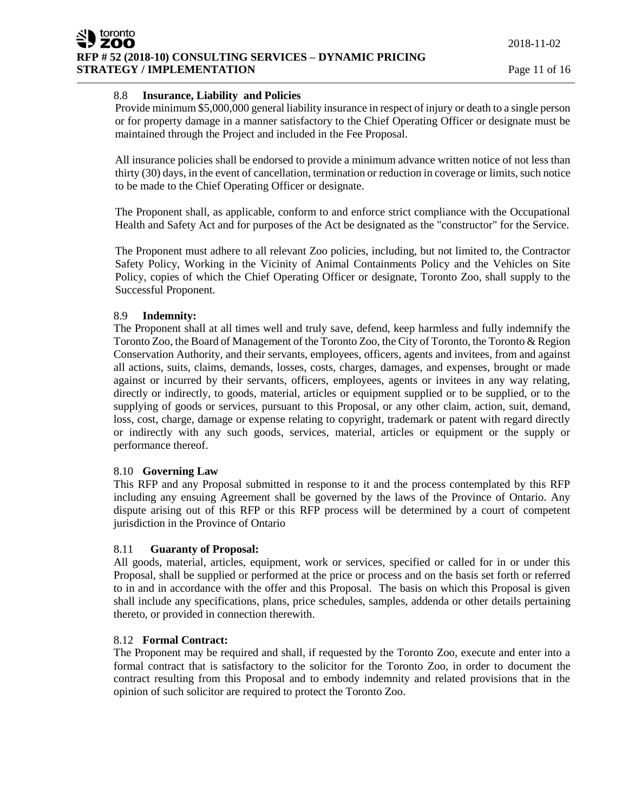# 8.8 **Insurance, Liability and Policies**

Provide minimum \$5,000,000 general liability insurance in respect of injury or death to a single person or for property damage in a manner satisfactory to the Chief Operating Officer or designate must be maintained through the Project and included in the Fee Proposal.

All insurance policies shall be endorsed to provide a minimum advance written notice of not less than thirty (30) days, in the event of cancellation, termination or reduction in coverage or limits, such notice to be made to the Chief Operating Officer or designate.

The Proponent shall, as applicable, conform to and enforce strict compliance with the Occupational Health and Safety Act and for purposes of the Act be designated as the "constructor" for the Service.

The Proponent must adhere to all relevant Zoo policies, including, but not limited to, the Contractor Safety Policy, Working in the Vicinity of Animal Containments Policy and the Vehicles on Site Policy, copies of which the Chief Operating Officer or designate, Toronto Zoo, shall supply to the Successful Proponent.

### 8.9 **Indemnity:**

The Proponent shall at all times well and truly save, defend, keep harmless and fully indemnify the Toronto Zoo, the Board of Management of the Toronto Zoo, the City of Toronto, the Toronto & Region Conservation Authority, and their servants, employees, officers, agents and invitees, from and against all actions, suits, claims, demands, losses, costs, charges, damages, and expenses, brought or made against or incurred by their servants, officers, employees, agents or invitees in any way relating, directly or indirectly, to goods, material, articles or equipment supplied or to be supplied, or to the supplying of goods or services, pursuant to this Proposal, or any other claim, action, suit, demand, loss, cost, charge, damage or expense relating to copyright, trademark or patent with regard directly or indirectly with any such goods, services, material, articles or equipment or the supply or performance thereof.

# 8.10 **Governing Law**

This RFP and any Proposal submitted in response to it and the process contemplated by this RFP including any ensuing Agreement shall be governed by the laws of the Province of Ontario. Any dispute arising out of this RFP or this RFP process will be determined by a court of competent jurisdiction in the Province of Ontario

### 8.11 **Guaranty of Proposal:**

All goods, material, articles, equipment, work or services, specified or called for in or under this Proposal, shall be supplied or performed at the price or process and on the basis set forth or referred to in and in accordance with the offer and this Proposal. The basis on which this Proposal is given shall include any specifications, plans, price schedules, samples, addenda or other details pertaining thereto, or provided in connection therewith.

### 8.12 **Formal Contract:**

The Proponent may be required and shall, if requested by the Toronto Zoo, execute and enter into a formal contract that is satisfactory to the solicitor for the Toronto Zoo, in order to document the contract resulting from this Proposal and to embody indemnity and related provisions that in the opinion of such solicitor are required to protect the Toronto Zoo.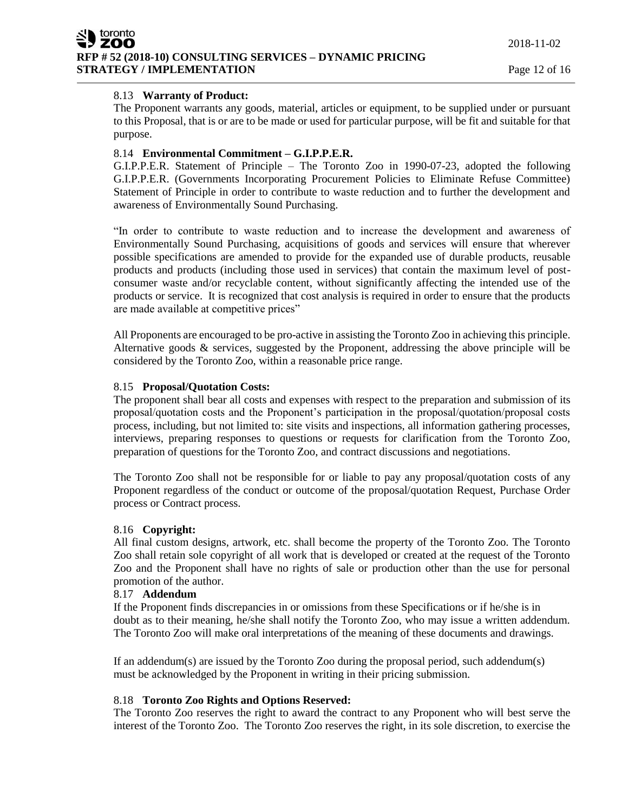### 8.13 **Warranty of Product:**

The Proponent warrants any goods, material, articles or equipment, to be supplied under or pursuant to this Proposal, that is or are to be made or used for particular purpose, will be fit and suitable for that purpose.

### 8.14 **Environmental Commitment – G.I.P.P.E.R.**

G.I.P.P.E.R. Statement of Principle – The Toronto Zoo in 1990-07-23, adopted the following G.I.P.P.E.R. (Governments Incorporating Procurement Policies to Eliminate Refuse Committee) Statement of Principle in order to contribute to waste reduction and to further the development and awareness of Environmentally Sound Purchasing.

"In order to contribute to waste reduction and to increase the development and awareness of Environmentally Sound Purchasing, acquisitions of goods and services will ensure that wherever possible specifications are amended to provide for the expanded use of durable products, reusable products and products (including those used in services) that contain the maximum level of postconsumer waste and/or recyclable content, without significantly affecting the intended use of the products or service. It is recognized that cost analysis is required in order to ensure that the products are made available at competitive prices"

All Proponents are encouraged to be pro-active in assisting the Toronto Zoo in achieving this principle. Alternative goods & services, suggested by the Proponent, addressing the above principle will be considered by the Toronto Zoo, within a reasonable price range.

### 8.15 **Proposal/Quotation Costs:**

The proponent shall bear all costs and expenses with respect to the preparation and submission of its proposal/quotation costs and the Proponent's participation in the proposal/quotation/proposal costs process, including, but not limited to: site visits and inspections, all information gathering processes, interviews, preparing responses to questions or requests for clarification from the Toronto Zoo, preparation of questions for the Toronto Zoo, and contract discussions and negotiations.

The Toronto Zoo shall not be responsible for or liable to pay any proposal/quotation costs of any Proponent regardless of the conduct or outcome of the proposal/quotation Request, Purchase Order process or Contract process.

### 8.16 **Copyright:**

All final custom designs, artwork, etc. shall become the property of the Toronto Zoo. The Toronto Zoo shall retain sole copyright of all work that is developed or created at the request of the Toronto Zoo and the Proponent shall have no rights of sale or production other than the use for personal promotion of the author.

#### 8.17 **Addendum**

If the Proponent finds discrepancies in or omissions from these Specifications or if he/she is in doubt as to their meaning, he/she shall notify the Toronto Zoo, who may issue a written addendum. The Toronto Zoo will make oral interpretations of the meaning of these documents and drawings.

If an addendum(s) are issued by the Toronto Zoo during the proposal period, such addendum(s) must be acknowledged by the Proponent in writing in their pricing submission.

### 8.18 **Toronto Zoo Rights and Options Reserved:**

The Toronto Zoo reserves the right to award the contract to any Proponent who will best serve the interest of the Toronto Zoo. The Toronto Zoo reserves the right, in its sole discretion, to exercise the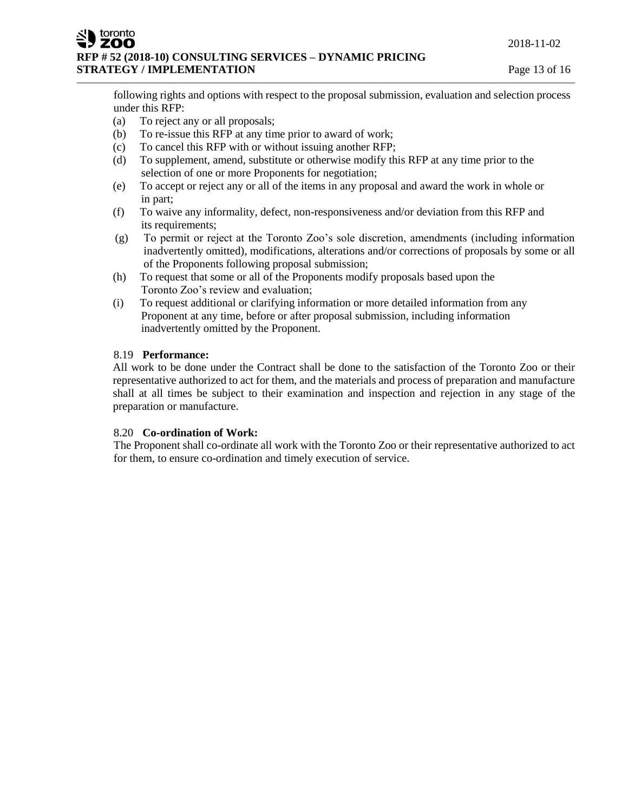### ZOO **RFP # 52 (2018-10) CONSULTING SERVICES – DYNAMIC PRICING STRATEGY / IMPLEMENTATION Page 13 of 16**

following rights and options with respect to the proposal submission, evaluation and selection process under this RFP:

(a) To reject any or all proposals;

toronto

- (b) To re-issue this RFP at any time prior to award of work;
- (c) To cancel this RFP with or without issuing another RFP;
- (d) To supplement, amend, substitute or otherwise modify this RFP at any time prior to the selection of one or more Proponents for negotiation;
- (e) To accept or reject any or all of the items in any proposal and award the work in whole or in part;
- (f) To waive any informality, defect, non-responsiveness and/or deviation from this RFP and its requirements;
- (g) To permit or reject at the Toronto Zoo's sole discretion, amendments (including information inadvertently omitted), modifications, alterations and/or corrections of proposals by some or all of the Proponents following proposal submission;
- (h) To request that some or all of the Proponents modify proposals based upon the Toronto Zoo's review and evaluation;
- (i) To request additional or clarifying information or more detailed information from any Proponent at any time, before or after proposal submission, including information inadvertently omitted by the Proponent.

### 8.19 **Performance:**

All work to be done under the Contract shall be done to the satisfaction of the Toronto Zoo or their representative authorized to act for them, and the materials and process of preparation and manufacture shall at all times be subject to their examination and inspection and rejection in any stage of the preparation or manufacture.

### 8.20 **Co-ordination of Work:**

The Proponent shall co-ordinate all work with the Toronto Zoo or their representative authorized to act for them, to ensure co-ordination and timely execution of service.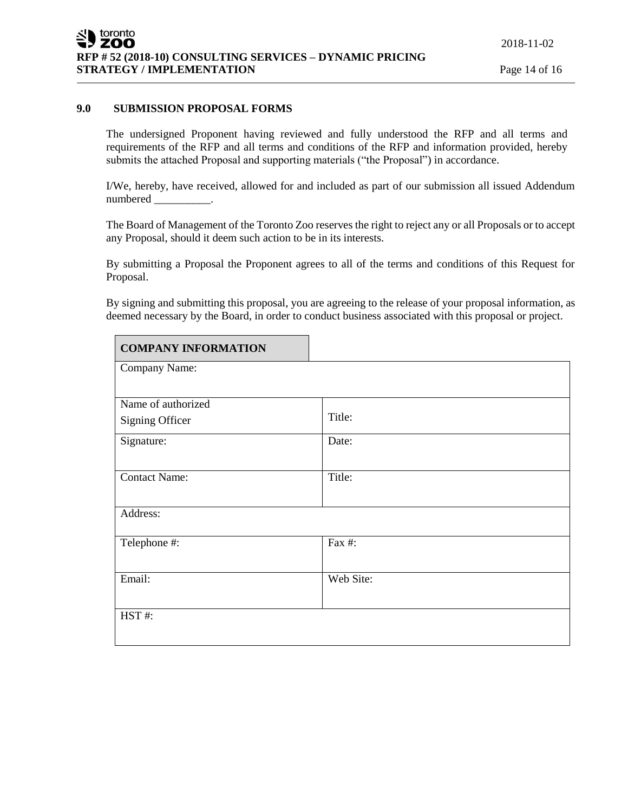### **9.0 SUBMISSION PROPOSAL FORMS**

The undersigned Proponent having reviewed and fully understood the RFP and all terms and requirements of the RFP and all terms and conditions of the RFP and information provided, hereby submits the attached Proposal and supporting materials ("the Proposal") in accordance.

I/We, hereby, have received, allowed for and included as part of our submission all issued Addendum numbered \_\_\_\_\_\_\_\_\_\_.

The Board of Management of the Toronto Zoo reserves the right to reject any or all Proposals or to accept any Proposal, should it deem such action to be in its interests.

By submitting a Proposal the Proponent agrees to all of the terms and conditions of this Request for Proposal.

By signing and submitting this proposal, you are agreeing to the release of your proposal information, as deemed necessary by the Board, in order to conduct business associated with this proposal or project.

| <b>COMPANY INFORMATION</b> |           |
|----------------------------|-----------|
| Company Name:              |           |
|                            |           |
| Name of authorized         |           |
| Signing Officer            | Title:    |
| Signature:                 | Date:     |
|                            |           |
| <b>Contact Name:</b>       | Title:    |
|                            |           |
| Address:                   |           |
| Telephone #:               | Fax #:    |
|                            |           |
| Email:                     | Web Site: |
|                            |           |
| HST#:                      |           |
|                            |           |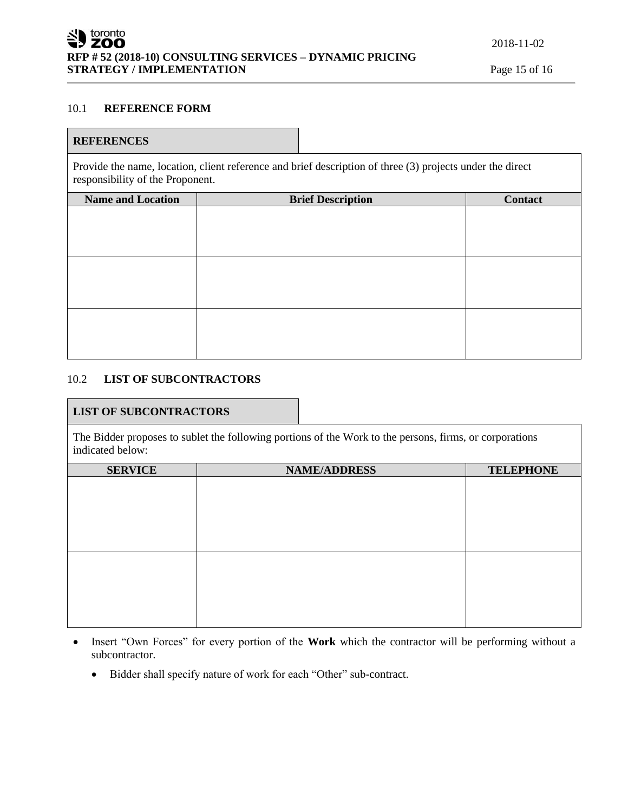### 10.1 **REFERENCE FORM**

#### **REFERENCES**

Provide the name, location, client reference and brief description of three (3) projects under the direct responsibility of the Proponent.

| <b>Name and Location</b> | <b>Brief Description</b> | Contact |
|--------------------------|--------------------------|---------|
|                          |                          |         |
|                          |                          |         |
|                          |                          |         |
|                          |                          |         |
|                          |                          |         |
|                          |                          |         |
|                          |                          |         |
|                          |                          |         |
|                          |                          |         |

#### 10.2 **LIST OF SUBCONTRACTORS**

#### **LIST OF SUBCONTRACTORS**

The Bidder proposes to sublet the following portions of the Work to the persons, firms, or corporations indicated below:

| <b>SERVICE</b> | <b>NAME/ADDRESS</b> | <b>TELEPHONE</b> |
|----------------|---------------------|------------------|
|                |                     |                  |
|                |                     |                  |
|                |                     |                  |
|                |                     |                  |
|                |                     |                  |
|                |                     |                  |
|                |                     |                  |
|                |                     |                  |
|                |                     |                  |

- Insert "Own Forces" for every portion of the **Work** which the contractor will be performing without a subcontractor.
	- Bidder shall specify nature of work for each "Other" sub-contract.